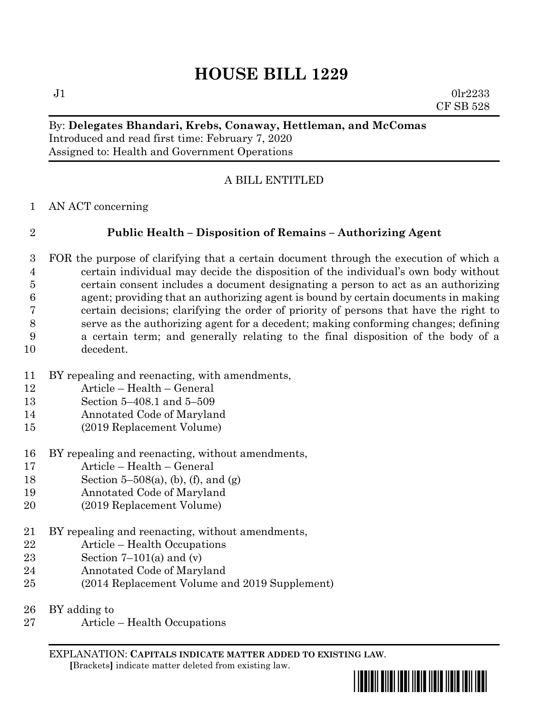$J1$  0lr2233 CF SB 528

# By: **Delegates Bhandari, Krebs, Conaway, Hettleman, and McComas** Introduced and read first time: February 7, 2020 Assigned to: Health and Government Operations

# A BILL ENTITLED

AN ACT concerning

# **Public Health – Disposition of Remains – Authorizing Agent**

- FOR the purpose of clarifying that a certain document through the execution of which a certain individual may decide the disposition of the individual's own body without certain consent includes a document designating a person to act as an authorizing agent; providing that an authorizing agent is bound by certain documents in making certain decisions; clarifying the order of priority of persons that have the right to serve as the authorizing agent for a decedent; making conforming changes; defining a certain term; and generally relating to the final disposition of the body of a decedent.
- BY repealing and reenacting, with amendments,
- Article Health General
- Section 5–408.1 and 5–509
- Annotated Code of Maryland
- (2019 Replacement Volume)
- BY repealing and reenacting, without amendments,
- Article Health General
- Section 5–508(a), (b), (f), and (g)
- Annotated Code of Maryland
- (2019 Replacement Volume)
- BY repealing and reenacting, without amendments,
- Article Health Occupations
- 23 Section  $7-101(a)$  and  $(v)$
- Annotated Code of Maryland
- (2014 Replacement Volume and 2019 Supplement)
- BY adding to
- Article Health Occupations

EXPLANATION: **CAPITALS INDICATE MATTER ADDED TO EXISTING LAW**.  **[**Brackets**]** indicate matter deleted from existing law.

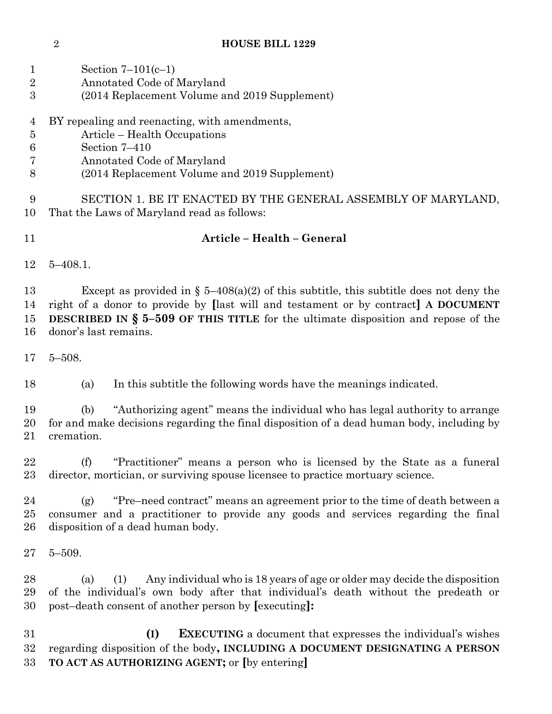|              | Section $7-101(c-1)$                          |
|--------------|-----------------------------------------------|
| 2            | Annotated Code of Maryland                    |
| $\mathbf{R}$ | (2014 Replacement Volume and 2019 Supplement) |
|              |                                               |
| 4            | BY repealing and reenacting, with amendments, |
| -5           | Article – Health Occupations                  |
|              | Section 7-410                                 |

- Annotated Code of Maryland
- (2014 Replacement Volume and 2019 Supplement)

 SECTION 1. BE IT ENACTED BY THE GENERAL ASSEMBLY OF MARYLAND, That the Laws of Maryland read as follows:

# **Article – Health – General**

5–408.1.

13 Except as provided in  $\S$  5–408(a)(2) of this subtitle, this subtitle does not deny the right of a donor to provide by **[**last will and testament or by contract**] A DOCUMENT DESCRIBED IN § 5–509 OF THIS TITLE** for the ultimate disposition and repose of the donor's last remains.

5–508.

(a) In this subtitle the following words have the meanings indicated.

 (b) "Authorizing agent" means the individual who has legal authority to arrange for and make decisions regarding the final disposition of a dead human body, including by cremation.

 (f) "Practitioner" means a person who is licensed by the State as a funeral director, mortician, or surviving spouse licensee to practice mortuary science.

 (g) "Pre–need contract" means an agreement prior to the time of death between a consumer and a practitioner to provide any goods and services regarding the final disposition of a dead human body.

5–509.

 (a) (1) Any individual who is 18 years of age or older may decide the disposition of the individual's own body after that individual's death without the predeath or post–death consent of another person by **[**executing**]:**

 **(I) EXECUTING** a document that expresses the individual's wishes regarding disposition of the body**, INCLUDING A DOCUMENT DESIGNATING A PERSON TO ACT AS AUTHORIZING AGENT;** or **[**by entering**]**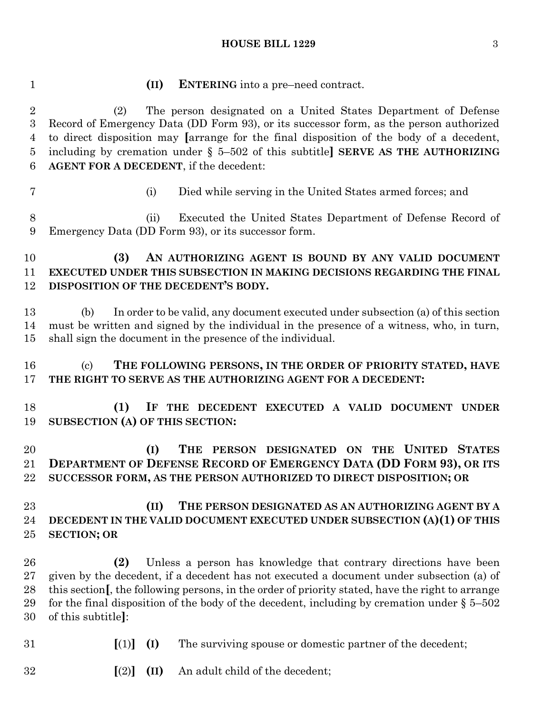| $\mathbf{1}$                                    | <b>ENTERING</b> into a pre-need contract.<br>(II)                                                                                                                                                                                                                                                                                                                                              |  |  |  |  |
|-------------------------------------------------|------------------------------------------------------------------------------------------------------------------------------------------------------------------------------------------------------------------------------------------------------------------------------------------------------------------------------------------------------------------------------------------------|--|--|--|--|
| $\overline{2}$<br>3<br>$\overline{4}$<br>5<br>6 | The person designated on a United States Department of Defense<br>(2)<br>Record of Emergency Data (DD Form 93), or its successor form, as the person authorized<br>to direct disposition may [arrange for the final disposition of the body of a decedent,<br>including by cremation under $\S$ 5-502 of this subtitle] SERVE AS THE AUTHORIZING<br>AGENT FOR A DECEDENT, if the decedent:     |  |  |  |  |
| 7                                               | Died while serving in the United States armed forces; and<br>(i)                                                                                                                                                                                                                                                                                                                               |  |  |  |  |
| 8<br>9                                          | Executed the United States Department of Defense Record of<br>(ii)<br>Emergency Data (DD Form 93), or its successor form.                                                                                                                                                                                                                                                                      |  |  |  |  |
| 10<br>11<br>12                                  | (3)<br>AN AUTHORIZING AGENT IS BOUND BY ANY VALID DOCUMENT<br>EXECUTED UNDER THIS SUBSECTION IN MAKING DECISIONS REGARDING THE FINAL<br>DISPOSITION OF THE DECEDENT'S BODY.                                                                                                                                                                                                                    |  |  |  |  |
| 13<br>14<br>$15\,$                              | In order to be valid, any document executed under subsection (a) of this section<br>(b)<br>must be written and signed by the individual in the presence of a witness, who, in turn,<br>shall sign the document in the presence of the individual.                                                                                                                                              |  |  |  |  |
| 16<br>17                                        | THE FOLLOWING PERSONS, IN THE ORDER OF PRIORITY STATED, HAVE<br>$\left( \mathrm{e}\right)$<br>THE RIGHT TO SERVE AS THE AUTHORIZING AGENT FOR A DECEDENT:                                                                                                                                                                                                                                      |  |  |  |  |
| 18<br>19                                        | (1)<br>IF THE DECEDENT EXECUTED A VALID DOCUMENT UNDER<br>SUBSECTION (A) OF THIS SECTION:                                                                                                                                                                                                                                                                                                      |  |  |  |  |
| 20<br>21<br>22                                  | THE PERSON DESIGNATED ON THE UNITED STATES<br>(I)<br>DEPARTMENT OF DEFENSE RECORD OF EMERGENCY DATA (DD FORM 93), OR ITS<br>SUCCESSOR FORM, AS THE PERSON AUTHORIZED TO DIRECT DISPOSITION; OR                                                                                                                                                                                                 |  |  |  |  |
| 23<br>24<br>25                                  | (II)<br>THE PERSON DESIGNATED AS AN AUTHORIZING AGENT BY A<br>DECEDENT IN THE VALID DOCUMENT EXECUTED UNDER SUBSECTION (A)(1) OF THIS<br><b>SECTION; OR</b>                                                                                                                                                                                                                                    |  |  |  |  |
| 26<br>$27\,$<br>28<br>29<br>30                  | (2)<br>Unless a person has knowledge that contrary directions have been<br>given by the decedent, if a decedent has not executed a document under subsection (a) of<br>this section, the following persons, in the order of priority stated, have the right to arrange<br>for the final disposition of the body of the decedent, including by cremation under $\S 5-502$<br>of this subtitle]: |  |  |  |  |
| 31                                              | [(1)]<br>(I)<br>The surviving spouse or domestic partner of the decedent;                                                                                                                                                                                                                                                                                                                      |  |  |  |  |
| 32                                              | An adult child of the decedent;<br>[(2)]<br>(II)                                                                                                                                                                                                                                                                                                                                               |  |  |  |  |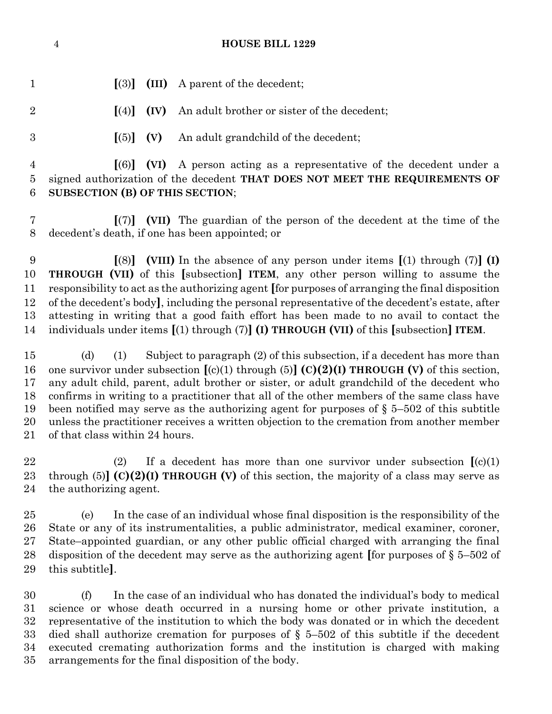| $\mathbf{1}$                           | $\left[ \mathrm{(3)}\right]$                                                                                                                                                                                                                                                                                                                                                                                                                                                                                                                                                                                      | (III)                    | A parent of the decedent;                                                                                                                                                                                                                                                                                                                                                                                                                                                                                                                                                                   |  |  |
|----------------------------------------|-------------------------------------------------------------------------------------------------------------------------------------------------------------------------------------------------------------------------------------------------------------------------------------------------------------------------------------------------------------------------------------------------------------------------------------------------------------------------------------------------------------------------------------------------------------------------------------------------------------------|--------------------------|---------------------------------------------------------------------------------------------------------------------------------------------------------------------------------------------------------------------------------------------------------------------------------------------------------------------------------------------------------------------------------------------------------------------------------------------------------------------------------------------------------------------------------------------------------------------------------------------|--|--|
| $\overline{2}$                         | $\lceil (4) \rceil$                                                                                                                                                                                                                                                                                                                                                                                                                                                                                                                                                                                               | (IV)                     | An adult brother or sister of the decedent;                                                                                                                                                                                                                                                                                                                                                                                                                                                                                                                                                 |  |  |
| 3                                      | $\lceil (5) \rceil$                                                                                                                                                                                                                                                                                                                                                                                                                                                                                                                                                                                               | (V)                      | An adult grandchild of the decedent;                                                                                                                                                                                                                                                                                                                                                                                                                                                                                                                                                        |  |  |
| $\overline{4}$<br>$\overline{5}$<br>6  | SUBSECTION (B) OF THIS SECTION;                                                                                                                                                                                                                                                                                                                                                                                                                                                                                                                                                                                   | $\lceil (6) \rceil$ (VI) | A person acting as a representative of the decedent under a<br>signed authorization of the decedent THAT DOES NOT MEET THE REQUIREMENTS OF                                                                                                                                                                                                                                                                                                                                                                                                                                                  |  |  |
| 7<br>8                                 |                                                                                                                                                                                                                                                                                                                                                                                                                                                                                                                                                                                                                   |                          | $\left[\frac{7}{7}\right]$ (VII) The guardian of the person of the decedent at the time of the<br>decedent's death, if one has been appointed; or                                                                                                                                                                                                                                                                                                                                                                                                                                           |  |  |
| 9<br>10<br>11<br>12<br>13<br>14        |                                                                                                                                                                                                                                                                                                                                                                                                                                                                                                                                                                                                                   |                          | $\lceil(8)\rceil$ (VIII) In the absence of any person under items $\lceil(1)$ through (7) (I)<br><b>THROUGH (VII)</b> of this [subsection] <b>ITEM</b> , any other person willing to assume the<br>responsibility to act as the authorizing agent [for purposes of arranging the final disposition<br>of the decedent's body, including the personal representative of the decedent's estate, after<br>attesting in writing that a good faith effort has been made to no avail to contact the<br>individuals under items $[(1)$ through $(7)]$ (I) THROUGH (VII) of this [subsection] ITEM. |  |  |
| 15<br>16<br>17<br>18<br>19<br>20<br>21 | Subject to paragraph (2) of this subsection, if a decedent has more than<br>(d)<br>(1)<br>one survivor under subsection $[(c)(1)$ through (5)] $(C)(2)(I)$ THROUGH (V) of this section,<br>any adult child, parent, adult brother or sister, or adult grandchild of the decedent who<br>confirms in writing to a practitioner that all of the other members of the same class have<br>been notified may serve as the authorizing agent for purposes of $\S$ 5-502 of this subtitle<br>unless the practitioner receives a written objection to the cremation from another member<br>of that class within 24 hours. |                          |                                                                                                                                                                                                                                                                                                                                                                                                                                                                                                                                                                                             |  |  |

 (2) If a decedent has more than one survivor under subsection **[**(c)(1) through (5)**] (C)(2)(I) THROUGH (V)** of this section, the majority of a class may serve as the authorizing agent.

 (e) In the case of an individual whose final disposition is the responsibility of the State or any of its instrumentalities, a public administrator, medical examiner, coroner, State–appointed guardian, or any other public official charged with arranging the final disposition of the decedent may serve as the authorizing agent **[**for purposes of § 5–502 of this subtitle**]**.

 (f) In the case of an individual who has donated the individual's body to medical science or whose death occurred in a nursing home or other private institution, a representative of the institution to which the body was donated or in which the decedent died shall authorize cremation for purposes of § 5–502 of this subtitle if the decedent executed cremating authorization forms and the institution is charged with making arrangements for the final disposition of the body.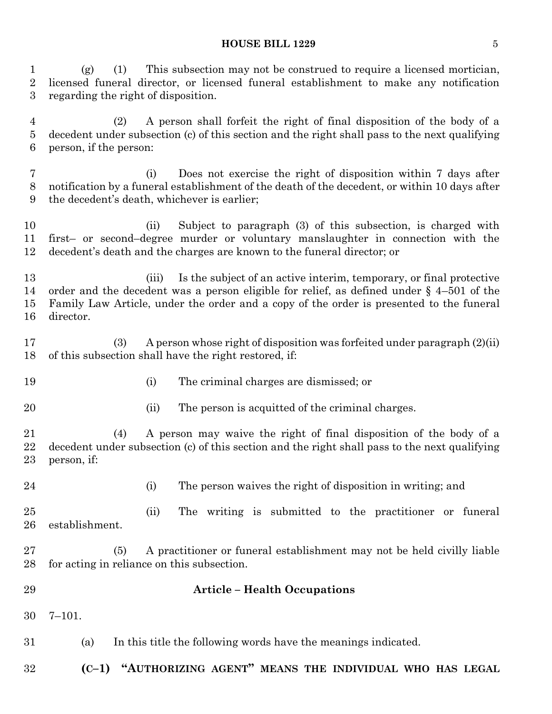(g) (1) This subsection may not be construed to require a licensed mortician, licensed funeral director, or licensed funeral establishment to make any notification regarding the right of disposition.

 (2) A person shall forfeit the right of final disposition of the body of a decedent under subsection (c) of this section and the right shall pass to the next qualifying person, if the person:

 (i) Does not exercise the right of disposition within 7 days after notification by a funeral establishment of the death of the decedent, or within 10 days after the decedent's death, whichever is earlier;

 (ii) Subject to paragraph (3) of this subsection, is charged with first– or second–degree murder or voluntary manslaughter in connection with the decedent's death and the charges are known to the funeral director; or

 (iii) Is the subject of an active interim, temporary, or final protective order and the decedent was a person eligible for relief, as defined under § 4–501 of the Family Law Article, under the order and a copy of the order is presented to the funeral director.

 (3) A person whose right of disposition was forfeited under paragraph (2)(ii) of this subsection shall have the right restored, if:

- 
- (i) The criminal charges are dismissed; or
- 

20 (ii) The person is acquitted of the criminal charges.

 (4) A person may waive the right of final disposition of the body of a decedent under subsection (c) of this section and the right shall pass to the next qualifying person, if:

(i) The person waives the right of disposition in writing; and

 (ii) The writing is submitted to the practitioner or funeral establishment.

 (5) A practitioner or funeral establishment may not be held civilly liable for acting in reliance on this subsection.

## **Article – Health Occupations**

7–101.

(a) In this title the following words have the meanings indicated.

**(C–1) "AUTHORIZING AGENT" MEANS THE INDIVIDUAL WHO HAS LEGAL**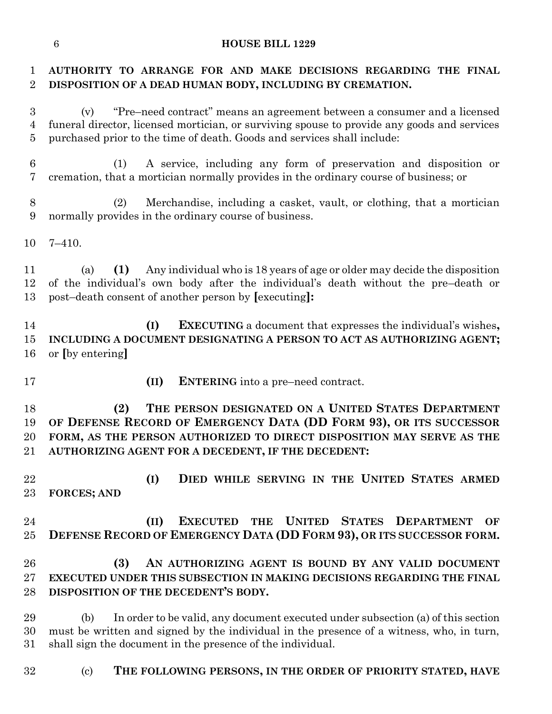# **AUTHORITY TO ARRANGE FOR AND MAKE DECISIONS REGARDING THE FINAL DISPOSITION OF A DEAD HUMAN BODY, INCLUDING BY CREMATION.**

 (v) "Pre–need contract" means an agreement between a consumer and a licensed funeral director, licensed mortician, or surviving spouse to provide any goods and services purchased prior to the time of death. Goods and services shall include:

- (1) A service, including any form of preservation and disposition or cremation, that a mortician normally provides in the ordinary course of business; or
- (2) Merchandise, including a casket, vault, or clothing, that a mortician normally provides in the ordinary course of business.
- 7–410.

 (a) **(1)** Any individual who is 18 years of age or older may decide the disposition of the individual's own body after the individual's death without the pre–death or post–death consent of another person by **[**executing**]:**

 **(I) EXECUTING** a document that expresses the individual's wishes**, INCLUDING A DOCUMENT DESIGNATING A PERSON TO ACT AS AUTHORIZING AGENT;** or **[**by entering**]**

- 
- **(II) ENTERING** into a pre–need contract.

 **(2) THE PERSON DESIGNATED ON A UNITED STATES DEPARTMENT OF DEFENSE RECORD OF EMERGENCY DATA (DD FORM 93), OR ITS SUCCESSOR FORM, AS THE PERSON AUTHORIZED TO DIRECT DISPOSITION MAY SERVE AS THE AUTHORIZING AGENT FOR A DECEDENT, IF THE DECEDENT:**

 **(I) DIED WHILE SERVING IN THE UNITED STATES ARMED FORCES; AND**

 **(II) EXECUTED THE UNITED STATES DEPARTMENT OF DEFENSE RECORD OF EMERGENCY DATA (DD FORM 93), OR ITS SUCCESSOR FORM.**

# **(3) AN AUTHORIZING AGENT IS BOUND BY ANY VALID DOCUMENT EXECUTED UNDER THIS SUBSECTION IN MAKING DECISIONS REGARDING THE FINAL DISPOSITION OF THE DECEDENT'S BODY.**

 (b) In order to be valid, any document executed under subsection (a) of this section must be written and signed by the individual in the presence of a witness, who, in turn, shall sign the document in the presence of the individual.

(c) **THE FOLLOWING PERSONS, IN THE ORDER OF PRIORITY STATED, HAVE**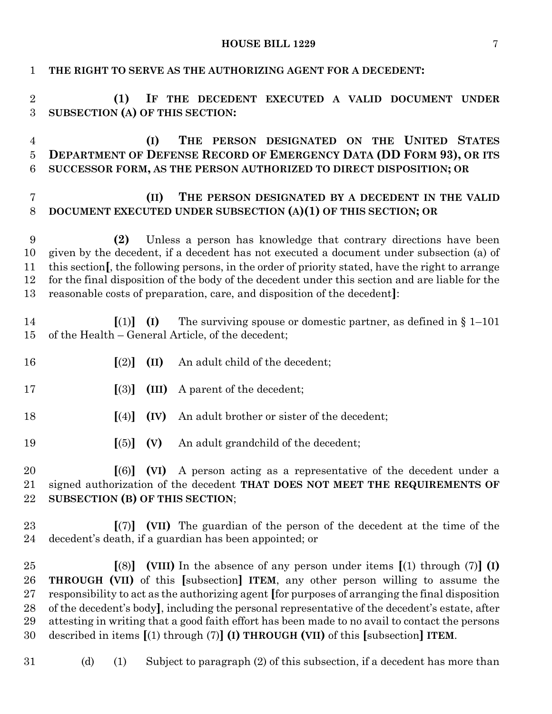| 1                                    | THE RIGHT TO SERVE AS THE AUTHORIZING AGENT FOR A DECEDENT:                                                                                                                                                                                                                                                                                                                                                                                                                                                                                                                                       |  |  |  |  |
|--------------------------------------|---------------------------------------------------------------------------------------------------------------------------------------------------------------------------------------------------------------------------------------------------------------------------------------------------------------------------------------------------------------------------------------------------------------------------------------------------------------------------------------------------------------------------------------------------------------------------------------------------|--|--|--|--|
| $\boldsymbol{2}$<br>$\boldsymbol{3}$ | (1)<br>IF THE DECEDENT EXECUTED A VALID DOCUMENT UNDER<br>SUBSECTION (A) OF THIS SECTION:                                                                                                                                                                                                                                                                                                                                                                                                                                                                                                         |  |  |  |  |
| 4<br>$\bf 5$<br>6                    | THE<br>PERSON DESIGNATED ON THE UNITED STATES<br>(I)<br><b>DEPARTMENT OF DEFENSE RECORD OF EMERGENCY DATA (DD FORM 93), OR ITS</b><br>SUCCESSOR FORM, AS THE PERSON AUTHORIZED TO DIRECT DISPOSITION; OR                                                                                                                                                                                                                                                                                                                                                                                          |  |  |  |  |
| $\overline{7}$<br>8                  | THE PERSON DESIGNATED BY A DECEDENT IN THE VALID<br>(II)<br>DOCUMENT EXECUTED UNDER SUBSECTION (A)(1) OF THIS SECTION; OR                                                                                                                                                                                                                                                                                                                                                                                                                                                                         |  |  |  |  |
| 9<br>10<br>11<br>12<br>13            | Unless a person has knowledge that contrary directions have been<br>(2)<br>given by the decedent, if a decedent has not executed a document under subsection (a) of<br>this section [, the following persons, in the order of priority stated, have the right to arrange<br>for the final disposition of the body of the decedent under this section and are liable for the<br>reasonable costs of preparation, care, and disposition of the decedent]:                                                                                                                                           |  |  |  |  |
| 14<br>15                             | The surviving spouse or domestic partner, as defined in $\S 1-101$<br>$\lceil (1) \rceil$<br>(I)<br>of the Health - General Article, of the decedent;                                                                                                                                                                                                                                                                                                                                                                                                                                             |  |  |  |  |
| 16                                   | $\lceil (2) \rceil$<br>(II)<br>An adult child of the decedent;                                                                                                                                                                                                                                                                                                                                                                                                                                                                                                                                    |  |  |  |  |
| 17                                   | $\left[ \mathrm{(3)}\right]$<br>(III)<br>A parent of the decedent;                                                                                                                                                                                                                                                                                                                                                                                                                                                                                                                                |  |  |  |  |
| 18                                   | $\lceil (4) \rceil$<br>(IV)<br>An adult brother or sister of the decedent;                                                                                                                                                                                                                                                                                                                                                                                                                                                                                                                        |  |  |  |  |
| 19                                   | $\left[ (5) \right]$<br>(V)<br>An adult grandchild of the decedent;                                                                                                                                                                                                                                                                                                                                                                                                                                                                                                                               |  |  |  |  |
| 20<br>21<br>22                       | $[(6)]$ (VI) A person acting as a representative of the decedent under a<br>signed authorization of the decedent THAT DOES NOT MEET THE REQUIREMENTS OF<br>SUBSECTION (B) OF THIS SECTION;                                                                                                                                                                                                                                                                                                                                                                                                        |  |  |  |  |
| 23<br>24                             | $[(7)]$ (VII) The guardian of the person of the decedent at the time of the<br>decedent's death, if a guardian has been appointed; or                                                                                                                                                                                                                                                                                                                                                                                                                                                             |  |  |  |  |
| 25<br>26<br>27<br>28<br>29<br>30     | (VIII) In the absence of any person under items $[(1)$ through $(7)]$ (I)<br>$\lceil (8) \rceil$<br><b>THROUGH (VII)</b> of this [subsection] <b>ITEM</b> , any other person willing to assume the<br>responsibility to act as the authorizing agent [for purposes of arranging the final disposition<br>of the decedent's body, including the personal representative of the decedent's estate, after<br>attesting in writing that a good faith effort has been made to no avail to contact the persons<br>described in items $[(1)$ through $(7)]$ (I) THROUGH (VII) of this [subsection] ITEM. |  |  |  |  |
| 31                                   | Subject to paragraph (2) of this subsection, if a decedent has more than<br>(d)<br>(1)                                                                                                                                                                                                                                                                                                                                                                                                                                                                                                            |  |  |  |  |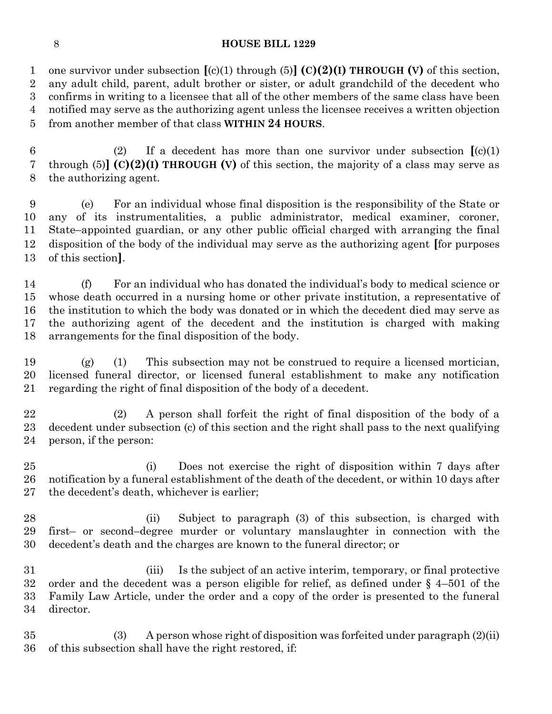one survivor under subsection **[**(c)(1) through (5)**] (C)(2)(I) THROUGH (V)** of this section, any adult child, parent, adult brother or sister, or adult grandchild of the decedent who confirms in writing to a licensee that all of the other members of the same class have been notified may serve as the authorizing agent unless the licensee receives a written objection from another member of that class **WITHIN 24 HOURS**.

 (2) If a decedent has more than one survivor under subsection **[**(c)(1) through (5)**] (C)(2)(I) THROUGH (V)** of this section, the majority of a class may serve as the authorizing agent.

 (e) For an individual whose final disposition is the responsibility of the State or any of its instrumentalities, a public administrator, medical examiner, coroner, State–appointed guardian, or any other public official charged with arranging the final disposition of the body of the individual may serve as the authorizing agent **[**for purposes of this section**]**.

 (f) For an individual who has donated the individual's body to medical science or whose death occurred in a nursing home or other private institution, a representative of the institution to which the body was donated or in which the decedent died may serve as the authorizing agent of the decedent and the institution is charged with making arrangements for the final disposition of the body.

 (g) (1) This subsection may not be construed to require a licensed mortician, licensed funeral director, or licensed funeral establishment to make any notification regarding the right of final disposition of the body of a decedent.

 (2) A person shall forfeit the right of final disposition of the body of a decedent under subsection (c) of this section and the right shall pass to the next qualifying person, if the person:

 (i) Does not exercise the right of disposition within 7 days after notification by a funeral establishment of the death of the decedent, or within 10 days after the decedent's death, whichever is earlier;

 (ii) Subject to paragraph (3) of this subsection, is charged with first– or second–degree murder or voluntary manslaughter in connection with the decedent's death and the charges are known to the funeral director; or

 (iii) Is the subject of an active interim, temporary, or final protective order and the decedent was a person eligible for relief, as defined under § 4–501 of the Family Law Article, under the order and a copy of the order is presented to the funeral director.

 (3) A person whose right of disposition was forfeited under paragraph (2)(ii) of this subsection shall have the right restored, if: